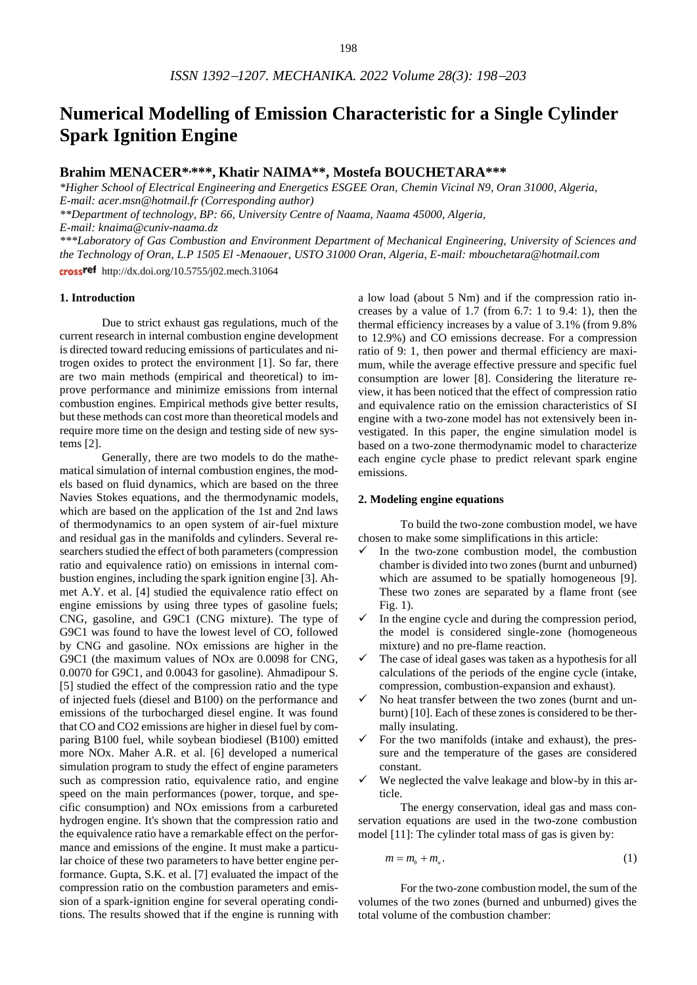# **Numerical Modelling of Emission Characteristic for a Single Cylinder Spark Ignition Engine**

# **Brahim MENACER\* ,\*\*\*, Khatir NAIMA\*\*, Mostefa BOUCHETARA\*\*\***

*\*Higher School of Electrical Engineering and Energetics ESGEE Oran, Chemin Vicinal N9, Oran 31000, Algeria, E-mail: [acer.msn@hotmail.fr](mailto:acer.msn@hotmail.fr) (Corresponding author)*

*\*\*Department of technology, BP: 66, University Centre of Naama, Naama 45000, Algeria,* 

*E-mail: knaima@cuniv-naama.dz*

*\*\*\*Laboratory of Gas Combustion and Environment Department of Mechanical Engineering, University of Sciences and the Technology of Oran, L.P 1505 El -Menaouer, USTO 31000 Oran, Algeria, E-mail[: mbouchetara@hotmail.com](mailto:mbouchetara@hotmail.com)* crossref http://dx.doi.org/10.5755/j02.mech.31064

#### **1. Introduction**

Due to strict exhaust gas regulations, much of the current research in internal combustion engine development is directed toward reducing emissions of particulates and nitrogen oxides to protect the environment [1]. So far, there are two main methods (empirical and theoretical) to improve performance and minimize emissions from internal combustion engines. Empirical methods give better results, but these methods can cost more than theoretical models and require more time on the design and testing side of new systems [2].

Generally, there are two models to do the mathematical simulation of internal combustion engines, the models based on fluid dynamics, which are based on the three Navies Stokes equations, and the thermodynamic models, which are based on the application of the 1st and 2nd laws of thermodynamics to an open system of air-fuel mixture and residual gas in the manifolds and cylinders. Several researchers studied the effect of both parameters (compression ratio and equivalence ratio) on emissions in internal combustion engines, including the spark ignition engine [3]. Ahmet A.Y. et al. [4] studied the equivalence ratio effect on engine emissions by using three types of gasoline fuels; CNG, gasoline, and G9C1 (CNG mixture). The type of G9C1 was found to have the lowest level of CO, followed by CNG and gasoline. NOx emissions are higher in the G9C1 (the maximum values of NOx are 0.0098 for CNG, 0.0070 for G9C1, and 0.0043 for gasoline). Ahmadipour S. [5] studied the effect of the compression ratio and the type of injected fuels (diesel and B100) on the performance and emissions of the turbocharged diesel engine. It was found that CO and CO2 emissions are higher in diesel fuel by comparing B100 fuel, while soybean biodiesel (B100) emitted more NOx. Maher A.R. et al. [6] developed a numerical simulation program to study the effect of engine parameters such as compression ratio, equivalence ratio, and engine speed on the main performances (power, torque, and specific consumption) and NOx emissions from a carbureted hydrogen engine. It's shown that the compression ratio and the equivalence ratio have a remarkable effect on the performance and emissions of the engine. It must make a particular choice of these two parameters to have better engine performance. Gupta, S.K. et al. [7] evaluated the impact of the compression ratio on the combustion parameters and emission of a spark-ignition engine for several operating conditions. The results showed that if the engine is running with

a low load (about 5 Nm) and if the compression ratio increases by a value of 1.7 (from 6.7: 1 to 9.4: 1), then the thermal efficiency increases by a value of 3.1% (from 9.8% to 12.9%) and CO emissions decrease. For a compression ratio of 9: 1, then power and thermal efficiency are maximum, while the average effective pressure and specific fuel consumption are lower [8]. Considering the literature review, it has been noticed that the effect of compression ratio and equivalence ratio on the emission characteristics of SI engine with a two-zone model has not extensively been investigated. In this paper, the engine simulation model is based on a two-zone thermodynamic model to characterize each engine cycle phase to predict relevant spark engine emissions.

#### **2. Modeling engine equations**

To build the two-zone combustion model, we have chosen to make some simplifications in this article:

- In the two-zone combustion model, the combustion chamber is divided into two zones (burnt and unburned) which are assumed to be spatially homogeneous [9]. These two zones are separated by a flame front (see Fig. 1).
- $\checkmark$  In the engine cycle and during the compression period, the model is considered single-zone (homogeneous mixture) and no pre-flame reaction.
- $\checkmark$  The case of ideal gases was taken as a hypothesis for all calculations of the periods of the engine cycle (intake, compression, combustion-expansion and exhaust).
- No heat transfer between the two zones (burnt and unburnt) [10]. Each of these zones is considered to be thermally insulating.
- For the two manifolds (intake and exhaust), the pressure and the temperature of the gases are considered constant.
- We neglected the valve leakage and blow-by in this article.

The energy conservation, ideal gas and mass conservation equations are used in the two-zone combustion model [11]: The cylinder total mass of gas is given by:

$$
m = m_b + m_u. \tag{1}
$$

For the two-zone combustion model, the sum of the volumes of the two zones (burned and unburned) gives the total volume of the combustion chamber: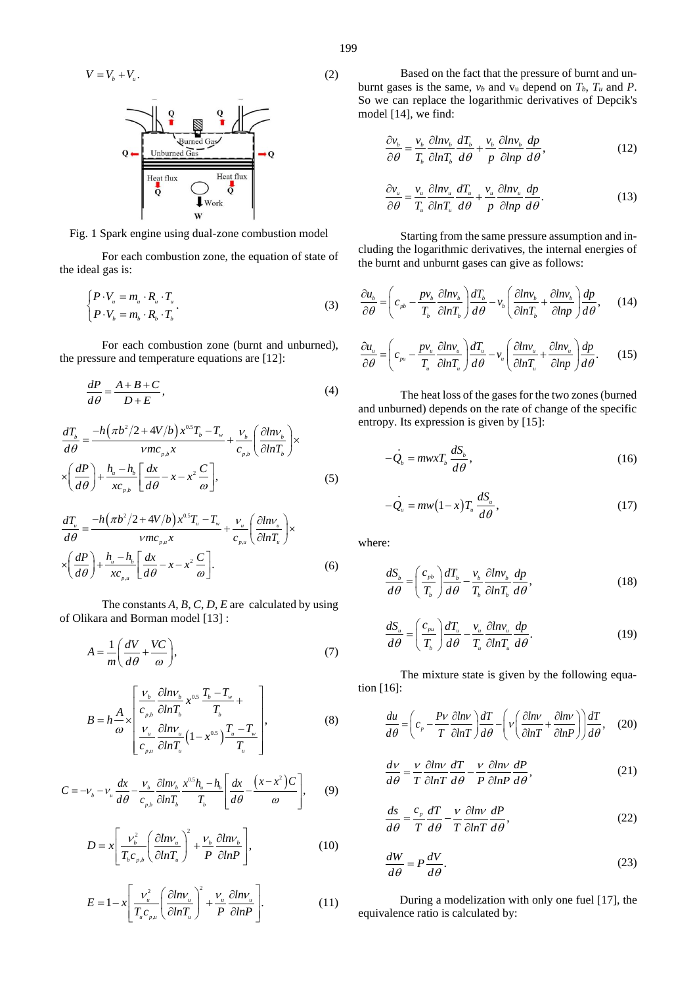$$
V = V_b + V_u.
$$

Fig. 1 Spark engine using dual-zone combustion model

For each combustion zone, the equation of state of the ideal gas is:

$$
\begin{cases}\nP \cdot V_u = m_u \cdot R_u \cdot T_u \\
P \cdot V_b = m_b \cdot R_b \cdot T_b\n\end{cases} \tag{3}
$$

For each combustion zone (burnt and unburned), the pressure and temperature equations are [12]:

$$
\frac{dP}{d\theta} = \frac{A + B + C}{D + E},\tag{4}
$$

$$
\frac{dT_b}{d\theta} = \frac{-h(\pi b^2/2 + 4V/b)x^{0.5}T_b - T_w}{\nu mc_{p,b}x} + \frac{v_b}{c_{p,b}} \left(\frac{\partial lnv_b}{\partial lnT_b}\right) \times \left(\frac{dP}{d\theta}\right) + \frac{h_u - h_b}{xc_{p,b}} \left[\frac{dx}{d\theta} - x - x^2 \frac{C}{\omega}\right],
$$
\n(5)

$$
\frac{dT_u}{d\theta} = \frac{-h(\pi b^2/2 + 4V/b)x^{0.5}T_u - T_w}{\nu mc_{p.u}x} + \frac{V_u}{c_{p.u}} \left(\frac{\partial lmv_u}{\partial lnT_u}\right) \times \left(\frac{dP}{d\theta}\right) + \frac{h_u - h_b}{xc_{p.u}} \left[\frac{dx}{d\theta} - x - x^2 \frac{C}{\omega}\right].
$$
\n(6)

The constants *A*, *B*, *C*, *D*, *E* are calculated by using of Olikara and Borman model [13] :

$$
A = \frac{1}{m} \left( \frac{dV}{d\theta} + \frac{VC}{\omega} \right),\tag{7}
$$

$$
B = h \frac{A}{\omega} \times \left[ \frac{V_b}{c_{\rho b}} \frac{\partial ln V_b}{\partial ln T_b} x^{0.5} \frac{T_b - T_w}{T_b} + \frac{V_u}{C_{\rho u}} \frac{\partial ln V_u}{\partial ln T_u} (1 - x^{0.5}) \frac{T_u - T_w}{T_u} \right],
$$
(8)

$$
C = -\nu_b - \nu_u \frac{dx}{d\theta} - \frac{\nu_b}{c_{\rho b}} \frac{\partial ln \nu_b}{\partial ln T_b} \frac{x^{0.5}h_u - h_b}{T_b} \left[ \frac{dx}{d\theta} - \frac{(x - x^2)C}{\omega} \right],
$$
 (9)

$$
D = x \left[ \frac{v_b^2}{T_b c_{p,b}} \left( \frac{\partial l n v_u}{\partial l n T_u} \right)^2 + \frac{v_b}{P} \frac{\partial l n v_b}{\partial l n P} \right],
$$
 (10)

$$
E = 1 - x \left[ \frac{v_u^2}{T_u c_{p,u}} \left( \frac{\partial l n v_u}{\partial l n T_u} \right)^2 + \frac{v_u}{P} \frac{\partial l n v_u}{\partial l n P} \right].
$$
 (11)

Based on the fact that the pressure of burnt and unburnt gases is the same,  $v_b$  and  $v_u$  depend on  $T_b$ ,  $T_u$  and  $P$ . So we can replace the logarithmic derivatives of Depcik's model [14], we find:

$$
\frac{\partial v_b}{\partial \theta} = \frac{v_b}{T_b} \frac{\partial \ln v_b}{\partial \ln T_b} \frac{dT_b}{d\theta} + \frac{v_b}{p} \frac{\partial \ln v_b}{\partial \ln p} \frac{dp}{d\theta},
$$
(12)

$$
\frac{\partial v_u}{\partial \theta} = \frac{v_u}{T_u} \frac{\partial \ln v_u}{\partial \ln T_u} \frac{dT_u}{d\theta} + \frac{v_u}{p} \frac{\partial \ln v_u}{\partial \ln p} \frac{dp}{d\theta}.
$$
(13)

Starting from the same pressure assumption and including the logarithmic derivatives, the internal energies of the burnt and unburnt gases can give as follows:

$$
\frac{\partial u_b}{\partial \theta} = \left( c_{pb} - \frac{p v_b}{T_b} \frac{\partial l n v_b}{\partial l n T_b} \right) \frac{d T_b}{d \theta} - v_b \left( \frac{\partial l n v_b}{\partial l n T_b} + \frac{\partial l n v_b}{\partial l n p} \right) \frac{d p}{d \theta}, \qquad (14)
$$

$$
\frac{\partial u_u}{\partial \theta} = \left( c_{\rho u} - \frac{pv_u}{T_u} \frac{\partial \ln v_u}{\partial \ln T_u} \right) \frac{dT_u}{d\theta} - v_u \left( \frac{\partial \ln v_u}{\partial \ln T_u} + \frac{\partial \ln v_u}{\partial \ln P} \right) \frac{dp}{d\theta}.
$$
 (15)

The heat loss of the gases for the two zones (burned and unburned) depends on the rate of change of the specific entropy. Its expression is given by [15]:

$$
-\dot{Q}_b = mwxT_b \frac{dS_b}{d\theta},\qquad(16)
$$

$$
-\dot{Q}_u = m w (1-x) T_u \frac{dS_u}{d\theta},
$$
\t(17)

where:

$$
\frac{dS_b}{d\theta} = \left(\frac{c_{pb}}{T_b}\right) \frac{dT_b}{d\theta} - \frac{v_b}{T_b} \frac{\partial l n v_b}{\partial l n T_b} \frac{dp}{d\theta},\tag{18}
$$

$$
\frac{dS_u}{d\theta} = \left(\frac{c_{pu}}{T_b}\right) \frac{dT_u}{d\theta} - \frac{v_u}{T_u} \frac{\partial lnv_u}{\partial lnT_u} \frac{dp}{d\theta}.
$$
\n(19)

The mixture state is given by the following equation [16]:

$$
\frac{du}{d\theta} = \left(c_p - \frac{Pv}{T} \frac{\partial \ln v}{\partial \ln T}\right) \frac{dT}{d\theta} - \left(v\left(\frac{\partial \ln v}{\partial \ln T} + \frac{\partial \ln v}{\partial \ln P}\right)\right) \frac{dT}{d\theta}, \quad (20)
$$

$$
\frac{dv}{d\theta} = \frac{v}{T} \frac{\partial \ln v}{\partial \ln T} \frac{dT}{d\theta} - \frac{v}{P} \frac{\partial \ln v}{\partial \ln P} \frac{dP}{d\theta},
$$
(21)

$$
\frac{ds}{d\theta} = \frac{c_{\rho}}{T} \frac{dT}{d\theta} - \frac{v}{T} \frac{\partial \ln v}{\partial \ln T} \frac{dP}{d\theta},
$$
\n(22)

$$
\frac{dW}{d\theta} = P\frac{dV}{d\theta}.\tag{23}
$$

During a modelization with only one fuel [17], the equivalence ratio is calculated by:

(2)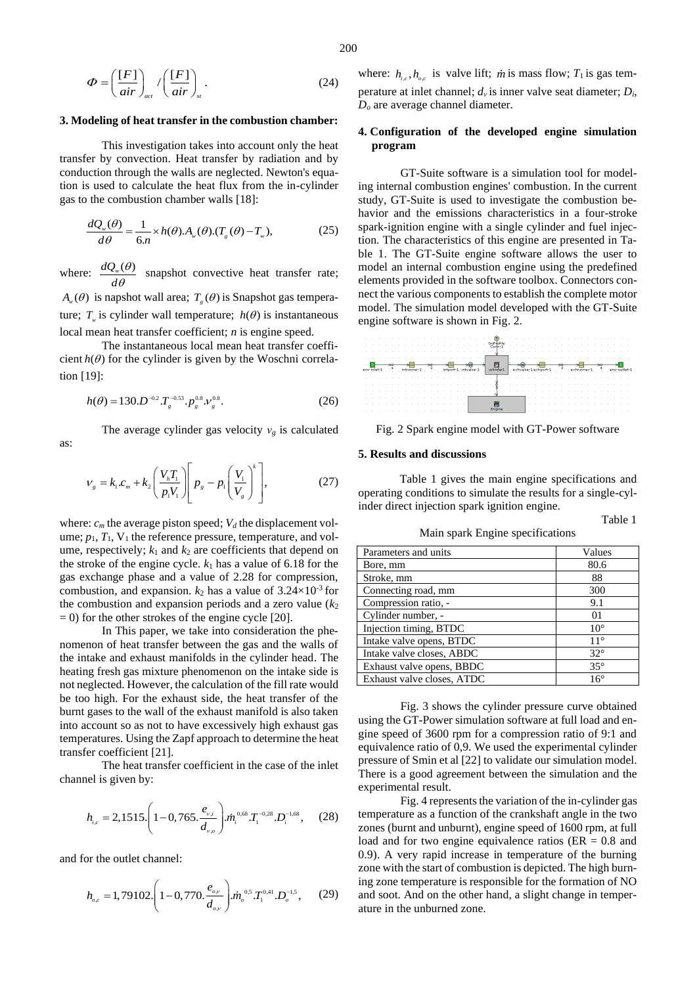$$
\Phi = \left(\frac{[F]}{air}\right)_{act} / \left(\frac{[F]}{air}\right)_{st}.
$$
\n(24)

#### **3. Modeling of heat transfer in the combustion chamber:**

This investigation takes into account only the heat transfer by convection. Heat transfer by radiation and by conduction through the walls are neglected. Newton's equation is used to calculate the heat flux from the in-cylinder gas to the combustion chamber walls [18]:

$$
\frac{dQ_w(\theta)}{d\theta} = \frac{1}{6n} \times h(\theta).A_w(\theta).(T_g(\theta) - T_w),
$$
\n(25)

where:  $\frac{dQ_\nu(\theta)}{dQ_\nu(\theta)}$ *d*  $\theta$  $\frac{\partial}{\partial \theta}$  snapshot convective heat transfer rate;  $A_{w}(\theta)$  is napshot wall area;  $T_{g}(\theta)$  is Snapshot gas temperature;  $T_{w}$  is cylinder wall temperature;  $h(\theta)$  is instantaneous local mean heat transfer coefficient; *n* is engine speed.

The instantaneous local mean heat transfer coefficient  $h(\theta)$  for the cylinder is given by the Woschni correlation [19]:

$$
h(\theta) = 130 \cdot D^{-0.2} T_s^{-0.53} \cdot P_s^{0.8} \cdot V_s^{0.8}.
$$
 (26)

The average cylinder gas velocity  $v_g$  is calculated as:

$$
V_{g} = k_{1}c_{m} + k_{2} \left(\frac{V_{h}T_{1}}{p_{1}V_{1}}\right) \left[p_{g} - p_{1}\left(\frac{V_{1}}{V_{g}}\right)^{k}\right],
$$
 (27)

where:  $c_m$  the average piston speed;  $V_d$  the displacement volume;  $p_1$ ,  $T_1$ ,  $V_1$  the reference pressure, temperature, and volume, respectively;  $k_1$  and  $k_2$  are coefficients that depend on the stroke of the engine cycle.  $k_1$  has a value of 6.18 for the gas exchange phase and a value of 2.28 for compression, combustion, and expansion.  $k_2$  has a value of  $3.24 \times 10^{-3}$  for the combustion and expansion periods and a zero value  $(k<sub>2</sub>)$  $= 0$ ) for the other strokes of the engine cycle [20].

In This paper, we take into consideration the phenomenon of heat transfer between the gas and the walls of the intake and exhaust manifolds in the cylinder head. The heating fresh gas mixture phenomenon on the intake side is not neglected. However, the calculation of the fill rate would be too high. For the exhaust side, the heat transfer of the burnt gases to the wall of the exhaust manifold is also taken into account so as not to have excessively high exhaust gas temperatures. Using the Zapf approach to determine the heat transfer coefficient [21].

The heat transfer coefficient in the case of the inlet channel is given by:

$$
h_{i,c} = 2,1515 \cdot \left(1 - 0,765 \cdot \frac{e_{v,i}}{d_{v,o}}\right) m_i^{0.68} T_1^{-0.28} \cdot D_i^{-1.68},\qquad(28)
$$

and for the outlet channel:

$$
h_{o,c} = 1,79102.\left(1-0,770.\frac{e_{o,v}}{d_{o,v}}\right) m_o^{0.5} T_1^{0.41} . D_o^{-1.5},\qquad(29)
$$

200

where:  $h_{i,c}$ ,  $h_{o,c}$  is valve lift; *m* is mass flow;  $T_1$  is gas temperature at inlet channel; *dν* is inner valve seat diameter; *Di*, *D<sup>o</sup>* are average channel diameter.

### **4. Configuration of the developed engine simulation program**

GT-Suite software is a simulation tool for modeling internal combustion engines' combustion. In the current study, GT-Suite is used to investigate the combustion behavior and the emissions characteristics in a four-stroke spark-ignition engine with a single cylinder and fuel injection. The characteristics of this engine are presented in Table 1. The GT-Suite engine software allows the user to model an internal combustion engine using the predefined elements provided in the software toolbox. Connectors connect the various components to establish the complete motor model. The simulation model developed with the GT-Suite engine software is shown in Fig. 2.



Fig. 2 Spark engine model with GT-Power software

#### **5. Results and discussions**

Table 1 gives the main engine specifications and operating conditions to simulate the results for a single-cylinder direct injection spark ignition engine.

Table 1

Main spark Engine specifications

| Parameters and units       | Values         |
|----------------------------|----------------|
| Bore, mm                   | 80.6           |
| Stroke, mm                 | 88             |
| Connecting road, mm        | 300            |
| Compression ratio, -       | 9.1            |
| Cylinder number, -         | 0 <sub>1</sub> |
| Injection timing, BTDC     | $10^{\circ}$   |
| Intake valve opens, BTDC   | $11^{\circ}$   |
| Intake valve closes, ABDC  | $32^{\circ}$   |
| Exhaust valve opens, BBDC  | $35^{\circ}$   |
| Exhaust valve closes, ATDC | $16^{\circ}$   |

Fig. 3 shows the cylinder pressure curve obtained using the GT-Power simulation software at full load and engine speed of 3600 rpm for a compression ratio of 9:1 and equivalence ratio of 0,9. We used the experimental cylinder pressure of Smin et al [22] to validate our simulation model. There is a good agreement between the simulation and the experimental result.

Fig. 4 represents the variation of the in-cylinder gas temperature as a function of the crankshaft angle in the two zones (burnt and unburnt), engine speed of 1600 rpm, at full load and for two engine equivalence ratios ( $ER = 0.8$  and 0.9). A very rapid increase in temperature of the burning zone with the start of combustion is depicted. The high burning zone temperature is responsible for the formation of NO and soot. And on the other hand, a slight change in temperature in the unburned zone.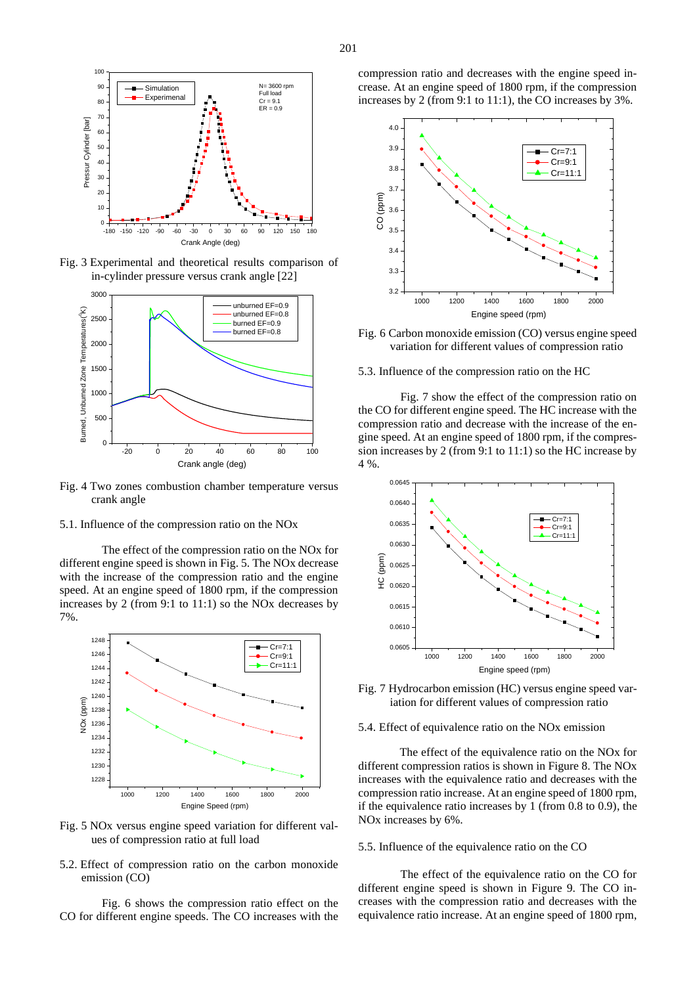

Fig. 3 Experimental and theoretical results comparison of in-cylinder pressure versus crank angle [22]



Fig. 4 Two zones combustion chamber temperature versus crank angle

5.1. Influence of the compression ratio on the NOx

The effect of the compression ratio on the NOx for different engine speed is shown in Fig. 5. The NOx decrease with the increase of the compression ratio and the engine speed. At an engine speed of 1800 rpm, if the compression increases by 2 (from 9:1 to 11:1) so the NOx decreases by 7%.



Fig. 5 NOx versus engine speed variation for different values of compression ratio at full load

5.2. Effect of compression ratio on the carbon monoxide emission (CO)

Fig. 6 shows the compression ratio effect on the CO for different engine speeds. The CO increases with the

compression ratio and decreases with the engine speed increase. At an engine speed of 1800 rpm, if the compression increases by 2 (from 9:1 to 11:1), the CO increases by 3%.



Fig. 6 Carbon monoxide emission (CO) versus engine speed variation for different values of compression ratio

5.3. Influence of the compression ratio on the HC

Fig. 7 show the effect of the compression ratio on the CO for different engine speed. The HC increase with the compression ratio and decrease with the increase of the engine speed. At an engine speed of 1800 rpm, if the compression increases by 2 (from 9:1 to 11:1) so the HC increase by 4 %.



Fig. 7 Hydrocarbon emission (HC) versus engine speed variation for different values of compression ratio

#### 5.4. Effect of equivalence ratio on the NOx emission

The effect of the equivalence ratio on the NO<sub>x</sub> for different compression ratios is shown in Figure 8. The NOx increases with the equivalence ratio and decreases with the compression ratio increase. At an engine speed of 1800 rpm, if the equivalence ratio increases by 1 (from 0.8 to 0.9), the NOx increases by 6%.

#### 5.5. Influence of the equivalence ratio on the CO

The effect of the equivalence ratio on the CO for different engine speed is shown in Figure 9. The CO increases with the compression ratio and decreases with the equivalence ratio increase. At an engine speed of 1800 rpm,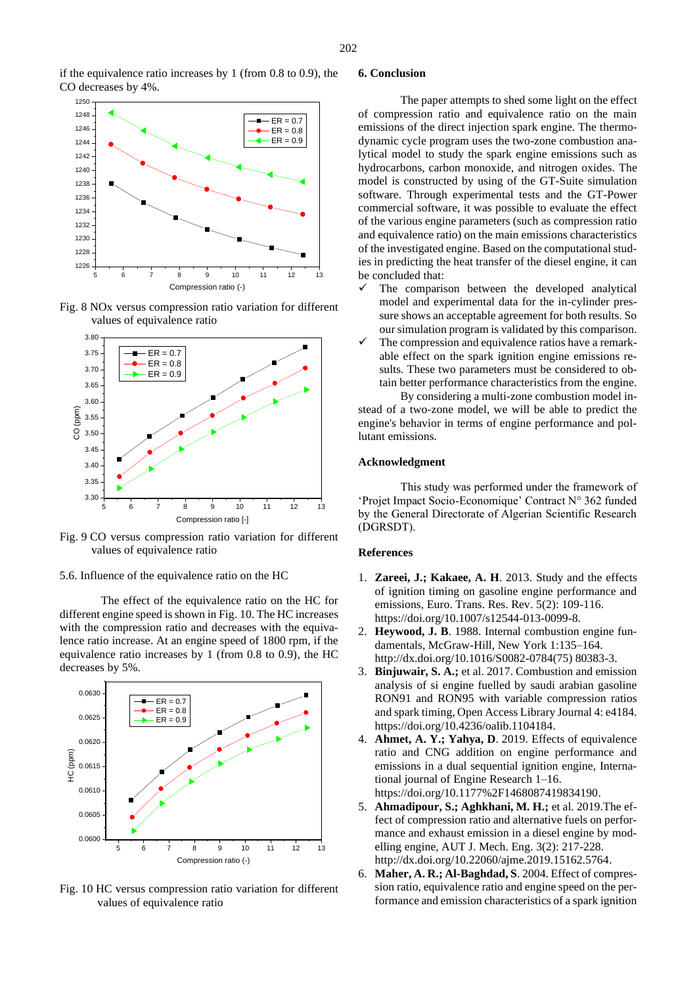if the equivalence ratio increases by 1 (from 0.8 to 0.9), the CO decreases by 4%.



Fig. 8 NOx versus compression ratio variation for different values of equivalence ratio



Fig. 9 CO versus compression ratio variation for different values of equivalence ratio

5.6. Influence of the equivalence ratio on the HC

The effect of the equivalence ratio on the HC for different engine speed is shown in Fig. 10. The HC increases with the compression ratio and decreases with the equivalence ratio increase. At an engine speed of 1800 rpm, if the equivalence ratio increases by 1 (from 0.8 to 0.9), the HC decreases by 5%.



Fig. 10 HC versus compression ratio variation for different values of equivalence ratio

# **6. Conclusion**

The paper attempts to shed some light on the effect of compression ratio and equivalence ratio on the main emissions of the direct injection spark engine. The thermodynamic cycle program uses the two-zone combustion analytical model to study the spark engine emissions such as hydrocarbons, carbon monoxide, and nitrogen oxides. The model is constructed by using of the GT-Suite simulation software. Through experimental tests and the GT-Power commercial software, it was possible to evaluate the effect of the various engine parameters (such as compression ratio and equivalence ratio) on the main emissions characteristics of the investigated engine. Based on the computational studies in predicting the heat transfer of the diesel engine, it can be concluded that:

- The comparison between the developed analytical model and experimental data for the in-cylinder pressure shows an acceptable agreement for both results. So our simulation program is validated by this comparison.
- $\checkmark$  The compression and equivalence ratios have a remarkable effect on the spark ignition engine emissions results. These two parameters must be considered to obtain better performance characteristics from the engine.

By considering a multi-zone combustion model instead of a two-zone model, we will be able to predict the engine's behavior in terms of engine performance and pollutant emissions.

#### **Acknowledgment**

This study was performed under the framework of 'Projet Impact Socio-Economique' Contract N° 362 funded by the General Directorate of Algerian Scientific Research (DGRSDT).

#### **References**

- 1. **Zareei, J.; Kakaee, A. H**. 2013. Study and the effects of ignition timing on gasoline engine performance and emissions, Euro. Trans. Res. Rev. 5(2): 109-116. https://doi.org/10.1007/s12544-013-0099-8.
- 2. **Heywood, J. B**. 1988. Internal combustion engine fundamentals, McGraw-Hill, New York 1:135–164. http://dx.doi.org/10.1016/S0082-0784(75) 80383-3.
- 3. **Binjuwair, S. A.;** et al. 2017. Combustion and emission analysis of si engine fuelled by saudi arabian gasoline RON91 and RON95 with variable compression ratios and spark timing, Open Access Library Journal 4: e4184. https://doi.org/10.4236/oalib.1104184.
- 4. **Ahmet, A. Y.; Yahya, D**. 2019. Effects of equivalence ratio and CNG addition on engine performance and emissions in a dual sequential ignition engine, International journal of Engine Research 1–16. https://doi.org/10.1177%2F1468087419834190.
- 5. **Ahmadipour, S.; Aghkhani, M. H.;** et al. 2019.The effect of compression ratio and alternative fuels on performance and exhaust emission in a diesel engine by modelling engine, AUT J. Mech. Eng. 3(2): 217-228. http://dx.doi.org/10.22060/ajme.2019.15162.5764.
- 6. **Maher, A. R.; Al-Baghdad, S**. 2004. Effect of compression ratio, equivalence ratio and engine speed on the performance and emission characteristics of a spark ignition